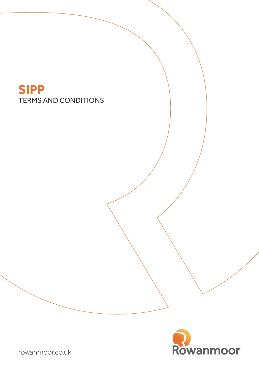# TERMS AND CONDITIONS **SIPP**



[rowanmoor.co.uk](http://www.rowanmoor.co.uk)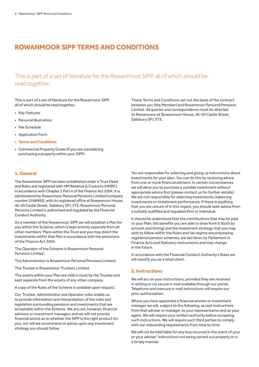### **ROWANMOOR SIPP TERMS AND CONDITIONS**

This is part of a set of literature for the Rowanmoor SIPP, all of which should be read together:

This is part of a set of literature for the Rowanmoor SIPP, all of which should be read together.

- Key Features
- Personal Illustration
- Fee Schedule
- Application Form
- **• Terms and Conditions**
- Commercial Property Guide (if you are considering purchasing a property within your SIPP)

#### **1. General**

The Rowanmoor SIPP has been established under a Trust Deed and Rules and registered with HM Revenue & Customs (HMRC) in accordance with Chapter 2 Part 4 of the Finance Act 2004. It is administered by Rowanmoor Personal Pensions Limited (company number 2268900), with its registered office at Rowanmoor House, 46-50 Castle Street, Salisbury SP1 3TS. Rowanmoor Personal Pensions Limited is authorised and regulated by the Financial Conduct Authority.

As a member of the Rowanmoor SIPP, we will establish a Plan for you within the Scheme, which is kept entirely separate from all other members' Plans within the Trust and you may direct the investments within that Plan in accordance with the provisions of the Finance Act 2004.

The Operator of the Scheme is Rowanmoor Personal Pensions Limited.

The Administrator is Rowanmoor Personal Pensions Limited.

The Trustee is Rowanmoor Trustees Limited.

The assets within your Plan are held in trust by the Trustee and kept separate from the assets of any other company.

A copy of the Rules of the Scheme is available upon request.

Our Trustee, Administrator and Operator roles enable us to provide information and interpretation of the rules and legislation surrounding pensions and investments that are acceptable within the Scheme. We are not, however, financial advisers or investment managers and we will not provide financial advice as to whether the SIPP is the right product for you, nor will we recommend or advise upon any investment strategy you should follow.

These Terms and Conditions set out the basis of the contract between you (the Member) and Rowanmoor Personal Pensions Limited. All queries and correspondence must be directed to Rowanmoor at Rowanmoor House, 46-50 Castle Street, Salisbury SP1 3TS.

You are responsible for selecting and giving us instructions about investments for your plan. You can do this by receiving advice from one or more financial advisers. In certain circumstances we will allow you to purchase a suitable investment without appropriate advice first (please contact us for further details). We are not responsible for selecting investments, balancing investments or investment performance. If there is anything that you are unsure of in this regard, you should seek advice from a suitably qualified and regulated firm or individual.

It should be understood that the contributions that may be paid to your Plan, the benefits you are able to draw from it (both by amount and timing) and the investment strategy that you may wish to follow within the Rules and tax regime encompassing registered pension schemes, are laid down by Parliament in Finance Acts and Statutory Instruments and may change in the future.

In accordance with the Financial Conduct Authority's Rules we will classify you as a retail client.

#### **2. Instructions**

We will act on your instructions, provided they are received in writing or via secure e-mail available through our portal. Telephone and insecure e-mail instructions will require our prior authorisation.

Where you have appointed a financial adviser or investment manager we will, subject to the following, accept instructions from that adviser or manager as your representative and as your agent. We will require your written authority before accepting such instructions. We will require such third parties to comply with our onboarding requirements from time to time.

We will not be held liable for any loss incurred in the event of your or your adviser' instructions not being carried out properly or in a timely manner.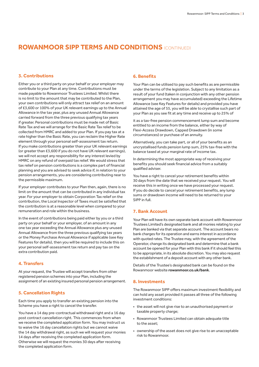### **ROWANMOOR SIPP TERMS AND CONDITIONS** (CONTINUED)

#### **3. Contributions**

Either you or a third party on your behalf or your employer may contribute to your Plan at any time. Contributions must be made payable to Rowanmoor Trustees Limited. Whilst there is no limit to the amount that may be contributed to the Plan, your own contributions will only attract tax relief on an amount of £3,600 or 100% of your UK relevant earnings up to the Annual Allowance in the tax year, plus any unused Annual Allowance carried forward from the three previous qualifying tax years if greater. Personal contributions must be made net of Basic Rate Tax and we will arrange for the Basic Rate Tax relief to be collected from HMRC and added to your Plan. If you pay tax at a rate higher than the Basic Rate, you can reclaim the Higher Rate element through your personal self-assessment tax return. If you make contributions greater than your UK relevant earnings (or greater than £3,600 if you do not have UK relevant earnings), we will not accept any responsibility for any interest levied by HMRC on any refund of overpaid tax relief. We would stress that tax relief on pension contributions is a complex part of financial planning and you are advised to seek advice if, in relation to your pension arrangements, you are considering contributing near to the permissible maximum.

If your employer contributes to your Plan then, again, there is no limit on the amount that can be contributed in any individual tax year. For your employer to obtain Corporation Tax relief on the contribution, the Local Inspector of Taxes must be satisfied that the contribution is at a reasonable level when compared to your remuneration and role within the business.

In the event of contributions being paid either by you or a third party on your behalf or your employer, of an amount in any one tax year exceeding the Annual Allowance plus any unused Annual Allowance from the three previous qualifying tax years or the Money Purchase Annual Allowance if applicable (see Key Features for details), then you will be required to include this on your personal self-assessment tax return and pay tax on the extra contribution paid.

#### **4. Transfers**

At your request, the Trustee will accept transfers from other registered pension schemes into your Plan, including the assignment of an existing insured personal pension arrangement.

#### **5. Cancellation Rights**

Each time you apply to transfer an existing pension into the Scheme you have a right to cancel the transfer.

You have a 14 day pre-contractual withdrawal right and a 16 day post contract cancellation right. This commences from when we receive the completed application form. You may instruct us to waive the 16 day cancellation rights but we cannot waive the 14 day withdrawal right, as such we will request your monies 14 days after receiving the completed application form. Otherwise we will request the monies 30 days after receiving the completed application form.

#### **6. Benefits**

Your Plan can be utilised to pay such benefits as are permissible under the terms of the legislation. Subject to any limitation as a result of your fund (taken in conjunction with any other pension arrangement you may have accumulated) exceeding the Lifetime Allowance (see Key Features for details) and provided you have attained the age of 55, you will be able to crystallise such part of your Plan as you see fit at any time and receive up to 25% of

it as a tax-free pension commencement lump sum and become entitled to an income from the balance, either by way of Flexi-Access Drawdown, Capped Drawdown (in some circumstances) or purchase of an annuity.

Alternatively, you can take part, or all of your benefits as an uncrystallised funds pension lump sum, 25% tax-free with the balance taxed at your marginal rate of income tax.

In determining the most appropriate way of receiving your benefits you should seek financial advice from a suitably qualified adviser.

You have a right to cancel your retirement benefits within 30 days from the date that we received your request. You will receive this in writing once we have processed your request. If you do decide to cancel your retirement benefits, any lump sums or drawdown income will need to be returned to your SIPP in full.

#### **7. Bank Account**

Your Plan will have its own separate bank account with Rowanmoor Trustees Limited's designated bank and all monies relating to your Plan are banked via that separate account. The account bears no bank charges for its operation and earns interest in accordance with quoted rates. The Trustee may, with the agreement of the Operator, change its designated bank and determine that a bank account be opened for your Plan with this bank if it should feel this to be appropriate, in its absolute discretion. You may also request the establishment of a deposit account with any other bank.

Details of the Trustee's designated bank can be found on the Rowanmoor website **[rowanmoor.co.uk/bank](http://www.rowanmoor.co.uk/bank)**.

#### **8. Investments**

The Rowanmoor SIPP offers maximum investment flexibility and can hold any asset provided it passes all three of the following investment conditions:

- the asset will not give rise to an unauthorised payment or taxable property charge;
- Rowanmoor Trustees Limited can obtain adequate title to the asset;
- ownership of the asset does not give rise to an unacceptable risk to Rowanmoor.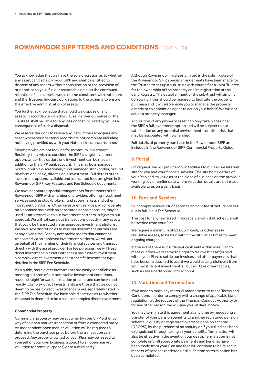### **ROWANMOOR SIPP TERMS AND CONDITIONS** (CONTINUED)

You acknowledge that we have the sole discretion as to whether any asset can be held in your SIPP and shall be entitled to dispose of any assets without consultation or the provision of prior notice to you, if in our reasonable opinion the continued retention of such assets would not be consistent with both ours and the Trustees fiduciary obligations to the Scheme to ensure the effective administration of assets.

You further acknowledge that should we dispose of any assets in accordance with this clause, neither ourselves or the Trustees shall be liable for any loss or cost incurred by you as a consequence of such a disposal.

We reserve the right to refuse any instructions to acquire any asset where your personal records are not complete including not having provided us with your National Insurance Number.

Members who are not looking for maximum investment flexibility, may wish to consider the SIPP's single investment option. Under this option, one investment can be made in addition to the SIPP bank account. This may be a managed portfolio with a discretionary fund manager, stockbroker, or fund platform or a basic, direct single investment. Full details of the investment options available and associated fees are given in the Rowanmoor SIPP Key Features and Fee Schedule documents.

We have negotiated special arrangements for members of the Rowanmoor SIPP with a number of providers offering investment services such as stockbrokers, fund supermarkets and other investment platforms. Other investment services, which operate on a nominee basis with an associated deposit account, may be used as an alternative to our investment partners, subject to our approval. We will not carry out transactions directly in any assets that could be transacted via an approved investment platform. We have sole discretion as to who our investment partners are at any given time. For any acceptable assets that cannot be transacted via an approved investment platform, we will act on behalf of the member or their financial adviser and transact directly with the asset provider. For fee purposes, we will treat direct investment in assets either as a basic direct investment, a complex direct investment or as a specific investment type detailed in the SIPP Fee Schedule.

As a guide, basic direct investments are easily identifiable as meeting all three of our acceptable investment conditions, have a straightforward application process and can be valued readily. Complex direct investments are those that we do not deem to be basic direct investments or are separately listed in the SIPP Fee Schedule. We have sole discretion as to whether the asset is deemed to be a basic or complex direct investment.

#### **Commercial Property**

Commercial property may be acquired by your SIPP either by way of an open market transaction or from a connected party. An independent open market valuation will be required to determine the purchase price before the transaction can proceed. Any property owned by your Plan may be leased to yourself or your own business (subject to an open market valuation for rental purposes) or to a third party.

Although Rowanmoor Trustees Limited is the sole Trustee of the Rowanmoor SIPP, special arrangements have been made for the Trustee to set up a sub-trust with yourself as a Joint Trustee for the ownership of the property and its registration at the Land Registry. The establishment of the sub-trust will simplify borrowing if this should be required to facilitate the property purchase and it will also enable you to manage the property directly or to appoint an agent to act on your behalf. We will not act as a property manager.

Acquisition of any property asset can only take place under the SIPP's full investment option and will be subject to our satisfaction on any potential environmental or other risk that may be associated with ownership.

Full details of property purchase in the Rowanmoor SIPP are included in the Rowanmoor SIPP Commercial Property Guide.

#### **9. Portal**

On request, we will provide log-in facilities to our secure internet site for you and your financial adviser. The site holds details of your Plan and its value as at the close of business on the previous working day or earlier date where valuation details are not made available to us on a daily basis.

#### **10. Fees and Services**

Our comprehensive list of services and our fee structure are set out in full in our Fee Schedule.

The cost for any fee raised in accordance with that schedule will be settled from your Plan.

We require a minimum of £2,000 in cash, or other easily realisable assets, to be held within the SIPP at all times to meet ongoing charges.

In the event there is insufficient cash held within your Plan to meet our fees we reserve the right to disinvest asset(s) held within your Plan to settle our invoices and other payments that have become due. In this event we would usually disinvest from your most recent investment(s), but will take other factors, such as ease of disposal, into account.

#### **11. Variation and Termination**

If we need to make any material amendment to these Terms and Conditions in order to comply with a change of applicable law or regulation, at the request of the Financial Conduct Authority or for any other reason, we will give you 30 days' notice.

You may terminate this agreement at any time by requesting a transfer of your pension benefits to another registered pension scheme, a qualifying registered overseas pension scheme (QROPS), by the purchase of an annuity or if your fund has been extinguished through taking all your benefits. Termination will also be effective in the event of your death. Termination is not complete until all appropriate payments and benefits have been made from your Plan and fees will continue to be raised in respect of services rendered until such time as termination has been completed.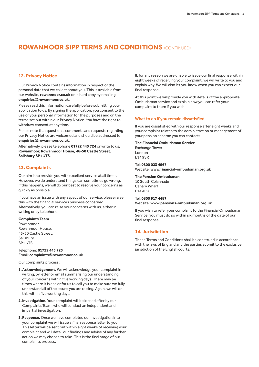### **ROWANMOOR SIPP TERMS AND CONDITIONS** (CONTINUED)

#### **12. Privacy Notice**

Our Privacy Notice contains information in respect of the personal data that we collect about you. This is available from our website, **[rowanmoor.co.uk](http://www.rowanmoor.co.uk)** or in hard copy by emailing **[enquiries@rowanmoor.co.uk](mailto:enquiries%40rowanmoor.co.uk?subject=)**.

Please read this information carefully before submitting your application to us. By signing the application, you consent to the use of your personal information for the purposes and on the terms set out within our Privacy Notice. You have the right to withdraw consent at any time.

Please note that questions, comments and requests regarding our Privacy Notice are welcomed and should be addressed to **[enquiries@rowanmoor.co.uk](mailto:enquiries%40rowanmoor.co.uk?subject=)**.

Alternatively, please telephone **01722 445 724** or write to us, **Rowanmoor, Rowanmoor House, 46-50 Castle Street, Salisbury SP1 3TS**.

#### **13. Complaints**

Our aim is to provide you with excellent service at all times. However, we do understand things can sometimes go wrong. If this happens, we will do our best to resolve your concerns as quickly as possible.

If you have an issue with any aspect of our service, please raise this with the financial services business concerned. Alternatively, you can raise your concerns with us, either in writing or by telephone.

#### **Complaints Team**

Rowanmoor Rowanmoor House, 46-50 Castle Street, Salisbury SP1 3TS

Telephone: **01722 445 725**  Email: **[complaints@rowanmoor.co.uk](mailto:complaints%40rowanmoor.co.uk?subject=)**

Our complaints process:

- **1.Acknowledgement.** We will acknowledge your complaint in writing, by letter or email summarising our understanding of your concerns within five working days. There may be times where it is easier for us to call you to make sure we fully understand all of the issues you are raising. Again, we will do this within five working days.
- **2.Investigation.** Your complaint will be looked after by our Complaints Team, who will conduct an independent and impartial investigation.
- **3.Response.** Once we have completed our investigation into your complaint we will issue a final response letter to you. This letter will be sent out within eight weeks of receiving your complaint and will detail our findings and advise of any further action we may choose to take. This is the final stage of our complaints process.

If, for any reason we are unable to issue our final response within eight weeks of receiving your complaint, we will write to you and explain why. We will also let you know when you can expect our final response.

At this point we will provide you with details of the appropriate Ombudsman service and explain how you can refer your complaint to them if you wish.

#### What to do if you remain dissatisfied

If you are dissatisfied with our response after eight weeks and your complaint relates to the administration or management of your pension scheme you can contact:

#### **The Financial Ombudsman Service**

Exchange Tower London E14 9SR

Tel: **0800 023 4567**  Website: **[www.financial-ombudsman.org.uk](http://www.financial-ombudsman.org.uk)**

#### **The Pension Ombudsman**

10 South Colannade Canary Wharf E14 4PU

#### Tel: **0800 917 4487**

Website: **[www.pensions-ombudsman.org.uk](http://www.pensions-ombudsman.org.uk)**

If you wish to refer your complaint to the Financial Ombudsman Service, you must do so within six months of the date of our final response.

#### **14. Jurisdiction**

These Terms and Conditions shall be construed in accordance with the laws of England and the parties submit to the exclusive jurisdiction of the English courts.